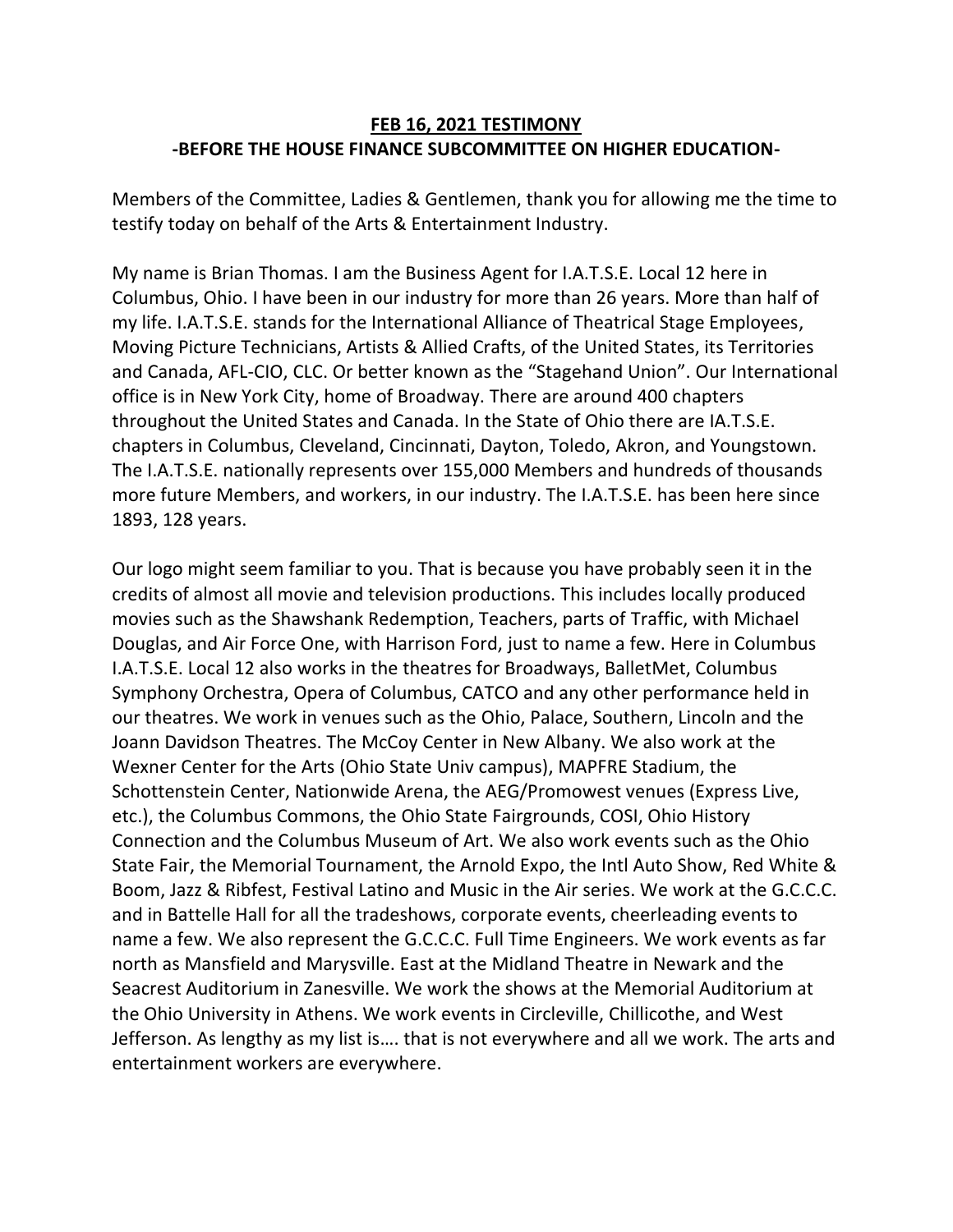## **FEB 16, 2021 TESTIMONY -BEFORE THE HOUSE FINANCE SUBCOMMITTEE ON HIGHER EDUCATION-**

Members of the Committee, Ladies & Gentlemen, thank you for allowing me the time to testify today on behalf of the Arts & Entertainment Industry.

My name is Brian Thomas. I am the Business Agent for I.A.T.S.E. Local 12 here in Columbus, Ohio. I have been in our industry for more than 26 years. More than half of my life. I.A.T.S.E. stands for the International Alliance of Theatrical Stage Employees, Moving Picture Technicians, Artists & Allied Crafts, of the United States, its Territories and Canada, AFL-CIO, CLC. Or better known as the "Stagehand Union". Our International office is in New York City, home of Broadway. There are around 400 chapters throughout the United States and Canada. In the State of Ohio there are IA.T.S.E. chapters in Columbus, Cleveland, Cincinnati, Dayton, Toledo, Akron, and Youngstown. The I.A.T.S.E. nationally represents over 155,000 Members and hundreds of thousands more future Members, and workers, in our industry. The I.A.T.S.E. has been here since 1893, 128 years.

Our logo might seem familiar to you. That is because you have probably seen it in the credits of almost all movie and television productions. This includes locally produced movies such as the Shawshank Redemption, Teachers, parts of Traffic, with Michael Douglas, and Air Force One, with Harrison Ford, just to name a few. Here in Columbus I.A.T.S.E. Local 12 also works in the theatres for Broadways, BalletMet, Columbus Symphony Orchestra, Opera of Columbus, CATCO and any other performance held in our theatres. We work in venues such as the Ohio, Palace, Southern, Lincoln and the Joann Davidson Theatres. The McCoy Center in New Albany. We also work at the Wexner Center for the Arts (Ohio State Univ campus), MAPFRE Stadium, the Schottenstein Center, Nationwide Arena, the AEG/Promowest venues (Express Live, etc.), the Columbus Commons, the Ohio State Fairgrounds, COSI, Ohio History Connection and the Columbus Museum of Art. We also work events such as the Ohio State Fair, the Memorial Tournament, the Arnold Expo, the Intl Auto Show, Red White & Boom, Jazz & Ribfest, Festival Latino and Music in the Air series. We work at the G.C.C.C. and in Battelle Hall for all the tradeshows, corporate events, cheerleading events to name a few. We also represent the G.C.C.C. Full Time Engineers. We work events as far north as Mansfield and Marysville. East at the Midland Theatre in Newark and the Seacrest Auditorium in Zanesville. We work the shows at the Memorial Auditorium at the Ohio University in Athens. We work events in Circleville, Chillicothe, and West Jefferson. As lengthy as my list is…. that is not everywhere and all we work. The arts and entertainment workers are everywhere.